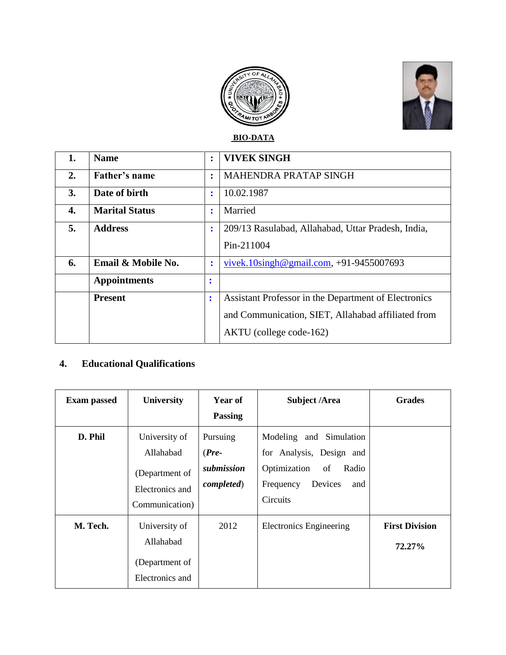



**BIO-DATA**

| 1. | <b>Name</b>           | $\ddot{\cdot}$ | <b>VIVEK SINGH</b>                                   |  |
|----|-----------------------|----------------|------------------------------------------------------|--|
| 2. | Father's name         | $\ddot{\cdot}$ | <b>MAHENDRA PRATAP SINGH</b>                         |  |
| 3. | Date of birth         | ٠<br>÷         | 10.02.1987                                           |  |
| 4. | <b>Marital Status</b> | $\ddot{\cdot}$ | Married                                              |  |
| 5. | <b>Address</b>        | $\ddot{\cdot}$ | 209/13 Rasulabad, Allahabad, Uttar Pradesh, India,   |  |
|    |                       |                | Pin-211004                                           |  |
| 6. | Email & Mobile No.    | $\ddot{\cdot}$ | vivek.10 $\sin \theta$ gmail.com, +91-9455007693     |  |
|    | <b>Appointments</b>   | $\bullet$<br>٠ |                                                      |  |
|    | <b>Present</b>        | $\ddot{\cdot}$ | Assistant Professor in the Department of Electronics |  |
|    |                       |                | and Communication, SIET, Allahabad affiliated from   |  |
|    |                       |                | AKTU (college code-162)                              |  |

# **4. Educational Qualifications**

| <b>Exam passed</b> | <b>University</b>                                                                 | Year of<br><b>Passing</b>                               | <b>Subject /Area</b>                                                                                                          | <b>Grades</b>                   |
|--------------------|-----------------------------------------------------------------------------------|---------------------------------------------------------|-------------------------------------------------------------------------------------------------------------------------------|---------------------------------|
| D. Phil            | University of<br>Allahabad<br>(Department of<br>Electronics and<br>Communication) | Pursuing<br>$(Pre-$<br>submission<br><i>completed</i> ) | Modeling and Simulation<br>for Analysis, Design and<br>Optimization<br>of<br>Radio<br>Devices<br>and<br>Frequency<br>Circuits |                                 |
| M. Tech.           | University of<br>Allahabad<br>(Department of<br>Electronics and                   | 2012                                                    | <b>Electronics Engineering</b>                                                                                                | <b>First Division</b><br>72.27% |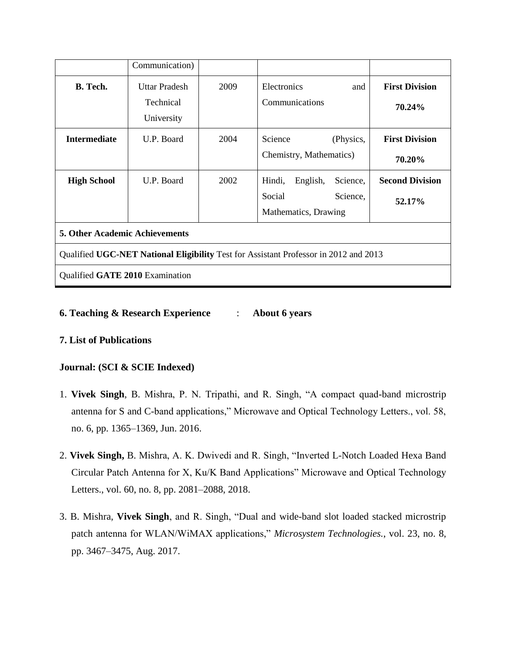|                                                                                      | Communication)                                  |      |                                                                              |                                  |  |  |  |  |
|--------------------------------------------------------------------------------------|-------------------------------------------------|------|------------------------------------------------------------------------------|----------------------------------|--|--|--|--|
| <b>B.</b> Tech.                                                                      | <b>Uttar Pradesh</b><br>Technical<br>University | 2009 | Electronics<br>and<br>Communications                                         | <b>First Division</b><br>70.24%  |  |  |  |  |
| <b>Intermediate</b>                                                                  | U.P. Board                                      | 2004 | Science<br>(Physics,<br>Chemistry, Mathematics)                              | <b>First Division</b><br>70.20%  |  |  |  |  |
| <b>High School</b>                                                                   | U.P. Board                                      | 2002 | Hindi,<br>English,<br>Science,<br>Social<br>Science,<br>Mathematics, Drawing | <b>Second Division</b><br>52.17% |  |  |  |  |
| <b>5. Other Academic Achievements</b>                                                |                                                 |      |                                                                              |                                  |  |  |  |  |
| Qualified UGC-NET National Eligibility Test for Assistant Professor in 2012 and 2013 |                                                 |      |                                                                              |                                  |  |  |  |  |
| Qualified GATE 2010 Examination                                                      |                                                 |      |                                                                              |                                  |  |  |  |  |

### **6. Teaching & Research Experience** : **About 6 years**

#### **7. List of Publications**

### **Journal: (SCI & SCIE Indexed)**

- 1. **Vivek Singh**, B. Mishra, P. N. Tripathi, and R. Singh, "A compact quad-band microstrip antenna for S and C-band applications," Microwave and Optical Technology Letters., vol. 58, no. 6, pp. 1365–1369, Jun. 2016.
- 2. **Vivek Singh,** B. Mishra, A. K. Dwivedi and R. Singh, "Inverted L-Notch Loaded Hexa Band Circular Patch Antenna for X, Ku/K Band Applications" Microwave and Optical Technology Letters., vol. 60, no. 8, pp. 2081–2088, 2018.
- 3. B. Mishra, **Vivek Singh**, and R. Singh, "Dual and wide-band slot loaded stacked microstrip patch antenna for WLAN/WiMAX applications," *Microsystem Technologies.*, vol. 23, no. 8, pp. 3467–3475, Aug. 2017.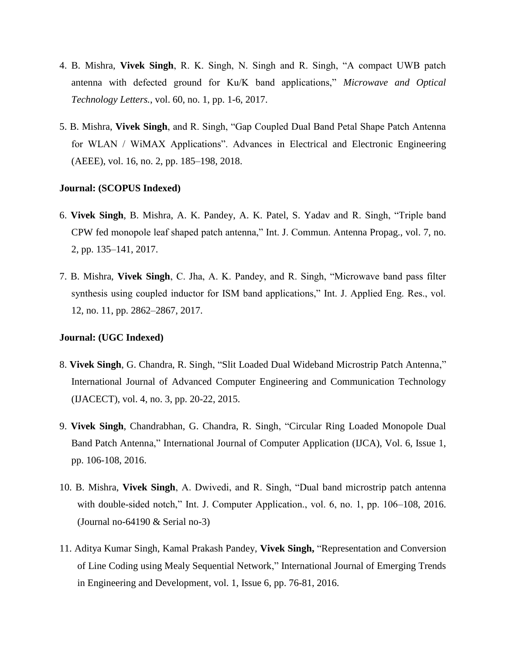- 4. B. Mishra, **Vivek Singh**, R. K. Singh, N. Singh and R. Singh, "A compact UWB patch antenna with defected ground for Ku/K band applications," *Microwave and Optical Technology Letters.*, vol. 60, no. 1, pp. 1-6, 2017.
- 5. B. Mishra, **Vivek Singh**, and R. Singh, "Gap Coupled Dual Band Petal Shape Patch Antenna for WLAN / WiMAX Applications". Advances in Electrical and Electronic Engineering (AEEE), vol. 16, no. 2, pp. 185–198, 2018.

#### **Journal: (SCOPUS Indexed)**

- 6. **Vivek Singh**, B. Mishra, A. K. Pandey, A. K. Patel, S. Yadav and R. Singh, "Triple band CPW fed monopole leaf shaped patch antenna," Int. J. Commun. Antenna Propag., vol. 7, no. 2, pp. 135–141, 2017.
- 7. B. Mishra, **Vivek Singh**, C. Jha, A. K. Pandey, and R. Singh, "Microwave band pass filter synthesis using coupled inductor for ISM band applications," Int. J. Applied Eng. Res., vol. 12, no. 11, pp. 2862–2867, 2017.

#### **Journal: (UGC Indexed)**

- 8. **Vivek Singh**, G. Chandra, R. Singh, "Slit Loaded Dual Wideband Microstrip Patch Antenna," International Journal of Advanced Computer Engineering and Communication Technology (IJACECT), vol. 4, no. 3, pp. 20-22, 2015.
- 9. **Vivek Singh**, Chandrabhan, G. Chandra, R. Singh, "Circular Ring Loaded Monopole Dual Band Patch Antenna," International Journal of Computer Application (IJCA), Vol. 6, Issue 1, pp. 106-108, 2016.
- 10. B. Mishra, **Vivek Singh**, A. Dwivedi, and R. Singh, "Dual band microstrip patch antenna with double-sided notch," Int. J. Computer Application., vol. 6, no. 1, pp. 106–108, 2016. (Journal no-64190 & Serial no-3)
- 11. Aditya Kumar Singh, Kamal Prakash Pandey, **Vivek Singh,** "Representation and Conversion of Line Coding using Mealy Sequential Network," International Journal of Emerging Trends in Engineering and Development, vol. 1, Issue 6, pp. 76-81, 2016.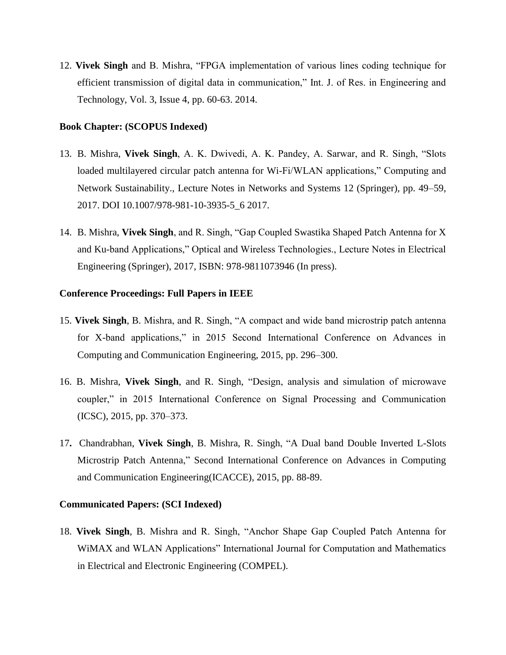12. **Vivek Singh** and B. Mishra, "FPGA implementation of various lines coding technique for efficient transmission of digital data in communication," Int. J. of Res. in Engineering and Technology, Vol. 3, Issue 4, pp. 60-63. 2014.

#### **Book Chapter: (SCOPUS Indexed)**

- 13. B. Mishra, **Vivek Singh**, A. K. Dwivedi, A. K. Pandey, A. Sarwar, and R. Singh, "Slots loaded multilayered circular patch antenna for Wi-Fi/WLAN applications," Computing and Network Sustainability., Lecture Notes in Networks and Systems 12 (Springer), pp. 49–59, 2017. DOI 10.1007/978-981-10-3935-5\_6 2017.
- 14. B. Mishra, **Vivek Singh**, and R. Singh, "Gap Coupled Swastika Shaped Patch Antenna for X and Ku-band Applications," Optical and Wireless Technologies., Lecture Notes in Electrical Engineering (Springer), 2017, ISBN: 978-9811073946 (In press).

#### **Conference Proceedings: Full Papers in IEEE**

- 15. **Vivek Singh**, B. Mishra, and R. Singh, "A compact and wide band microstrip patch antenna for X-band applications," in 2015 Second International Conference on Advances in Computing and Communication Engineering, 2015, pp. 296–300.
- 16. B. Mishra, **Vivek Singh**, and R. Singh, "Design, analysis and simulation of microwave coupler," in 2015 International Conference on Signal Processing and Communication (ICSC), 2015, pp. 370–373.
- 17**.** Chandrabhan, **Vivek Singh**, B. Mishra, R. Singh, "A Dual band Double Inverted L-Slots Microstrip Patch Antenna," Second International Conference on Advances in Computing and Communication Engineering(ICACCE), 2015, pp. 88-89.

#### **Communicated Papers: (SCI Indexed)**

18. **Vivek Singh**, B. Mishra and R. Singh, "Anchor Shape Gap Coupled Patch Antenna for WiMAX and WLAN Applications" International Journal for Computation and Mathematics in Electrical and Electronic Engineering (COMPEL).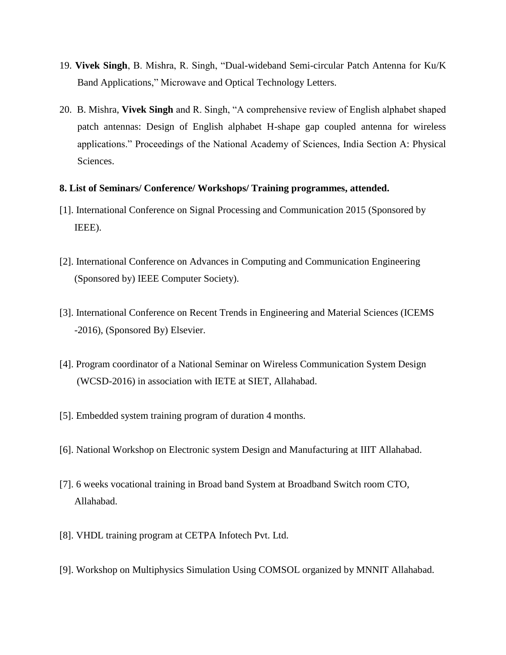- 19. **Vivek Singh**, B. Mishra, R. Singh, "Dual-wideband Semi-circular Patch Antenna for Ku/K Band Applications," Microwave and Optical Technology Letters.
- 20. B. Mishra, **Vivek Singh** and R. Singh, "A comprehensive review of English alphabet shaped patch antennas: Design of English alphabet H-shape gap coupled antenna for wireless applications." Proceedings of the National Academy of Sciences, India Section A: Physical Sciences.

### **8. List of Seminars/ Conference/ Workshops/ Training programmes, attended.**

- [1]. International Conference on Signal Processing and Communication 2015 (Sponsored by IEEE).
- [2]. International Conference on Advances in Computing and Communication Engineering (Sponsored by) IEEE Computer Society).
- [3]. International Conference on Recent Trends in Engineering and Material Sciences (ICEMS -2016), (Sponsored By) Elsevier.
- [4]. Program coordinator of a National Seminar on Wireless Communication System Design (WCSD-2016) in association with IETE at SIET, Allahabad.
- [5]. Embedded system training program of duration 4 months.
- [6]. National Workshop on Electronic system Design and Manufacturing at IIIT Allahabad.
- [7]. 6 weeks vocational training in Broad band System at Broadband Switch room CTO, Allahabad.
- [8]. VHDL training program at CETPA Infotech Pvt. Ltd.
- [9]. Workshop on Multiphysics Simulation Using COMSOL organized by MNNIT Allahabad.